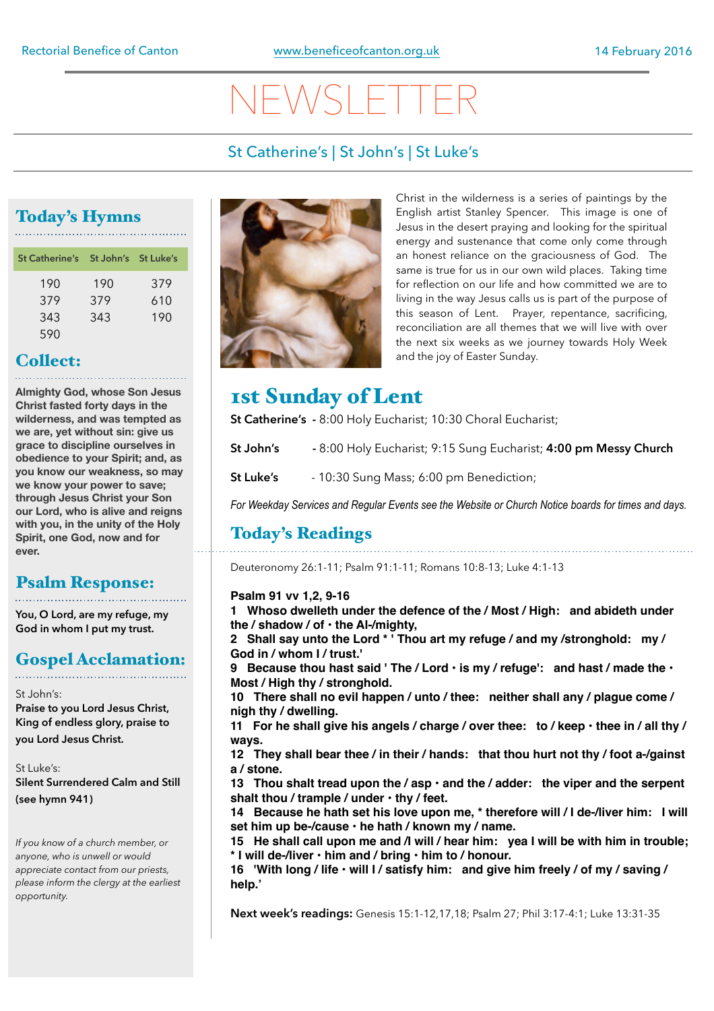# $\searrow$   $\vdash$   $\vee$   $\wedge$

### St Catherine's | St John's | St Luke's

## Today's Hymns

| St Catherine's St John's St Luke's |     |     |
|------------------------------------|-----|-----|
| 190                                | 190 | 379 |
| 379                                | 379 | 610 |
| 343                                | 343 | 190 |
| 590                                |     |     |

#### Collect:

**Almighty God, whose Son Jesus Christ fasted forty days in the wilderness, and was tempted as we are, yet without sin: give us grace to discipline ourselves in obedience to your Spirit; and, as you know our weakness, so may we know your power to save; through Jesus Christ your Son our Lord, who is alive and reigns with you, in the unity of the Holy Spirit, one God, now and for ever.**

#### Psalm Response:

**You, O Lord, are my refuge, my God in whom I put my trust.** 

### Gospel Acclamation:

#### St John's:

**Praise to you Lord Jesus Christ, King of endless glory, praise to you Lord Jesus Christ.** 

St Luke's: **Silent Surrendered Calm and Still (see hymn 941)** 

*If you know of a church member, or anyone, who is unwell or would appreciate contact from our priests, please inform the clergy at the earliest opportunity.* 



Christ in the wilderness is a series of paintings by the English artist Stanley Spencer. This image is one of Jesus in the desert praying and looking for the spiritual energy and sustenance that come only come through an honest reliance on the graciousness of God. The same is true for us in our own wild places. Taking time for reflection on our life and how committed we are to living in the way Jesus calls us is part of the purpose of this season of Lent. Prayer, repentance, sacrificing, reconciliation are all themes that we will live with over the next six weeks as we journey towards Holy Week and the joy of Easter Sunday.

# 1st Sunday of Lent

**St Catherine's -** 8:00 Holy Eucharist; 10:30 Choral Eucharist;

- **St John's** 8:00 Holy Eucharist; 9:15 Sung Eucharist; **4:00 pm Messy Church**
- **St Luke's**  10:30 Sung Mass; 6:00 pm Benediction;

*For Weekday Services and Regular Events see the Website or Church Notice boards for times and days.* 

### Today's Readings

Deuteronomy 26:1-11; Psalm 91:1-11; Romans 10:8-13; Luke 4:1-13

#### **Psalm 91 vv 1,2, 9-16**

**1 Whoso dwelleth under the defence of the / Most / High: and abideth under the / shadow / of • the Al-/mighty,** 

**2 Shall say unto the Lord \* ' Thou art my refuge / and my /stronghold: my / God in / whom I / trust.'**

**9 Because thou hast said ' The / Lord • is my / refuge': and hast / made the • Most / High thy / stronghold.** 

**10 There shall no evil happen / unto / thee: neither shall any / plague come / nigh thy / dwelling.**

**11 For he shall give his angels / charge / over thee: to / keep • thee in / all thy / ways.** 

**12 They shall bear thee / in their / hands: that thou hurt not thy / foot a-/gainst a / stone.**

**13 Thou shalt tread upon the / asp • and the / adder: the viper and the serpent shalt thou / trample / under • thy / feet.** 

**14 Because he hath set his love upon me, \* therefore will / I de-/liver him: I will set him up be-/cause • he hath / known my / name.**

**15 He shall call upon me and /I will / hear him: yea I will be with him in trouble; \* I will de-/liver • him and / bring • him to / honour.** 

**16 'With long / life • will I / satisfy him: and give him freely / of my / saving / help.'**

**Next week's readings:** Genesis 15:1-12,17,18; Psalm 27; Phil 3:17-4:1; Luke 13:31-35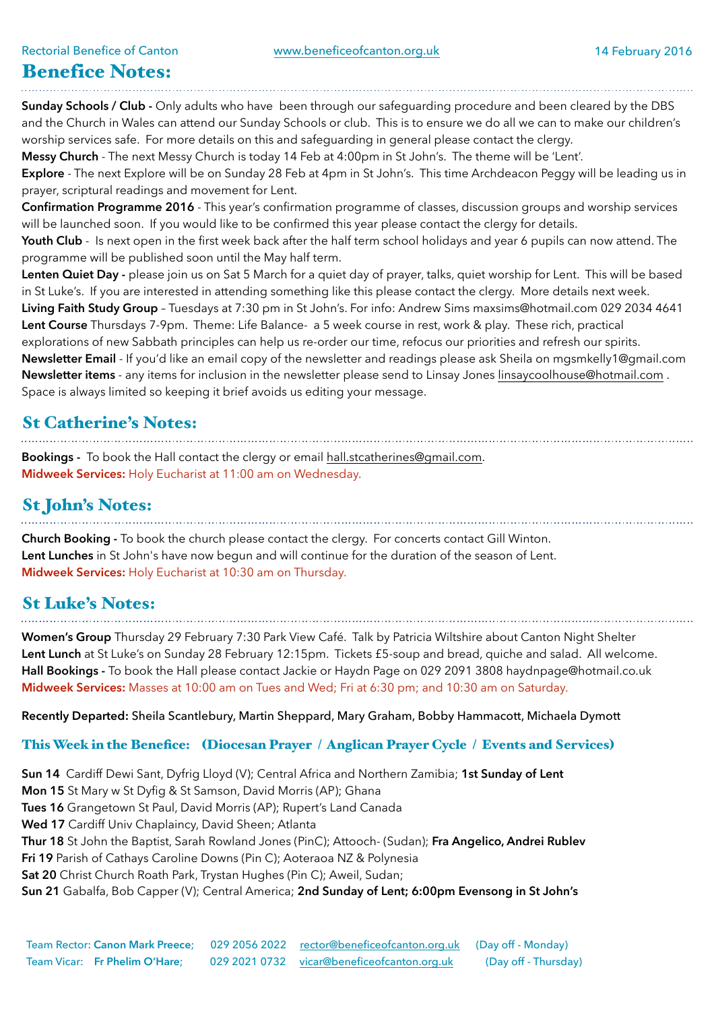# Benefice Notes:

**Sunday Schools / Club -** Only adults who have been through our safeguarding procedure and been cleared by the DBS and the Church in Wales can attend our Sunday Schools or club. This is to ensure we do all we can to make our children's worship services safe. For more details on this and safeguarding in general please contact the clergy.

**Messy Church** - The next Messy Church is today 14 Feb at 4:00pm in St John's. The theme will be 'Lent'.

**Explore** - The next Explore will be on Sunday 28 Feb at 4pm in St John's. This time Archdeacon Peggy will be leading us in prayer, scriptural readings and movement for Lent.

**Confirmation Programme 2016** - This year's confirmation programme of classes, discussion groups and worship services will be launched soon. If you would like to be confirmed this year please contact the clergy for details.

**Youth Club** - Is next open in the first week back after the half term school holidays and year 6 pupils can now attend. The programme will be published soon until the May half term.

Lenten Quiet Day - please join us on Sat 5 March for a quiet day of prayer, talks, quiet worship for Lent. This will be based in St Luke's. If you are interested in attending something like this please contact the clergy. More details next week. **Living Faith Study Group** – Tuesdays at 7:30 pm in St John's. For info: Andrew Sims [maxsims@hotmail.com](mailto:maxsims@hotmail.com) 029 2034 4641 **Lent Course** Thursdays 7-9pm. Theme: Life Balance- a 5 week course in rest, work & play. These rich, practical explorations of new Sabbath principles can help us re-order our time, refocus our priorities and refresh our spirits. **Newsletter Email** - If you'd like an email copy of the newsletter and readings please ask Sheila on [mgsmkelly1@gmail.com](mailto:mgsmkelly1@gmail.com)  **Newsletter items** - any items for inclusion in the newsletter please send to Linsay Jones [linsaycoolhouse@hotmail.com](mailto:linsaycoolhouse@hotmail.com) . Space is always limited so keeping it brief avoids us editing your message.

#### St Catherine's Notes:

**Bookings -** To book the Hall contact the clergy or email [hall.stcatherines@gmail.com.](mailto:hall.stcatherines@gmail.com) **Midweek Services:** Holy Eucharist at 11:00 am on Wednesday.

#### St John's Notes:

**Church Booking -** To book the church please contact the clergy. For concerts contact Gill Winton. **Lent Lunches** in St John's have now begun and will continue for the duration of the season of Lent. **Midweek Services:** Holy Eucharist at 10:30 am on Thursday.

#### St Luke's Notes:

**Women's Group** Thursday 29 February 7:30 Park View Café. Talk by Patricia Wiltshire about Canton Night Shelter **Lent Lunch** at St Luke's on Sunday 28 February 12:15pm. Tickets £5-soup and bread, quiche and salad. All welcome. **Hall Bookings -** To book the Hall please contact Jackie or Haydn Page on 029 2091 3808 [haydnpage@hotmail.co.uk](mailto:haydnpage@hotmail.co.uk) **Midweek Services:** Masses at 10:00 am on Tues and Wed; Fri at 6:30 pm; and 10:30 am on Saturday.

**Recently Departed:** Sheila Scantlebury, Martin Sheppard, Mary Graham, Bobby Hammacott, Michaela Dymott

#### This Week in the Benefice: (Diocesan Prayer / Anglican Prayer Cycle / Events and Services)

**Sun 14** Cardiff Dewi Sant, Dyfrig Lloyd (V); Central Africa and Northern Zamibia; **1st Sunday of Lent Mon 15** St Mary w St Dyfig & St Samson, David Morris (AP); Ghana **Tues 16** Grangetown St Paul, David Morris (AP); Rupert's Land Canada **Wed 17** Cardiff Univ Chaplaincy, David Sheen; Atlanta **Thur 18** St John the Baptist, Sarah Rowland Jones (PinC); Attooch- (Sudan); **Fra Angelico, Andrei Rublev Fri 19** Parish of Cathays Caroline Downs (Pin C); Aoteraoa NZ & Polynesia **Sat 20** Christ Church Roath Park, Trystan Hughes (Pin C); Aweil, Sudan;

**Sun 21** Gabalfa, Bob Capper (V); Central America; **2nd Sunday of Lent; 6:00pm Evensong in St John's**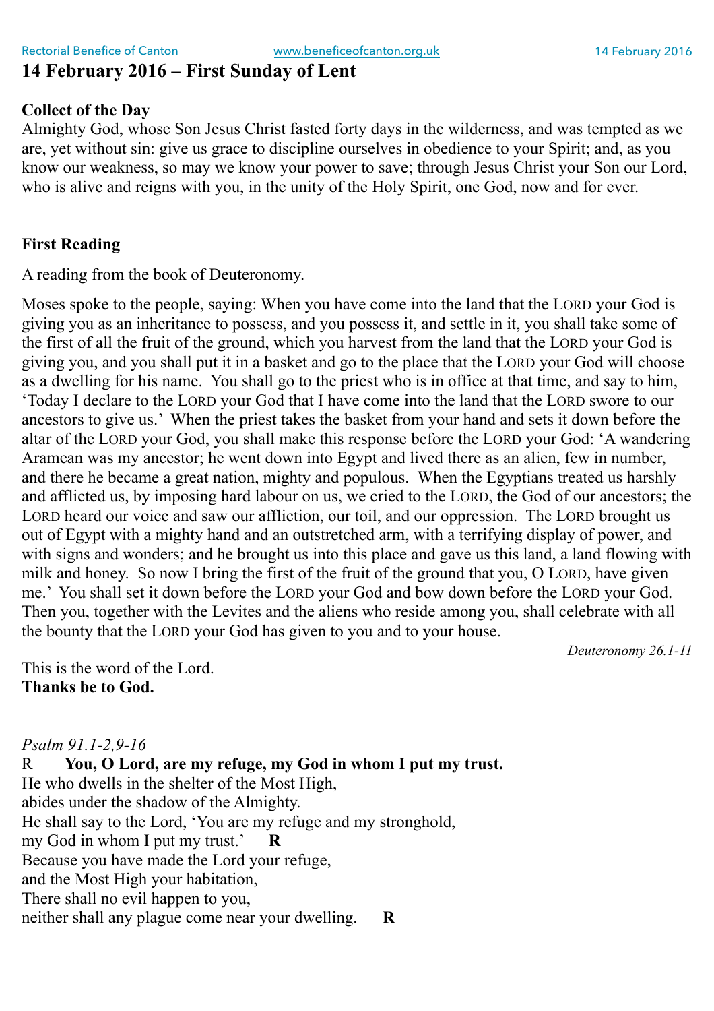#### **14 February 2016 – First Sunday of Lent**

#### **Collect of the Day**

Almighty God, whose Son Jesus Christ fasted forty days in the wilderness, and was tempted as we are, yet without sin: give us grace to discipline ourselves in obedience to your Spirit; and, as you know our weakness, so may we know your power to save; through Jesus Christ your Son our Lord, who is alive and reigns with you, in the unity of the Holy Spirit, one God, now and for ever.

#### **First Reading**

A reading from the book of Deuteronomy.

Moses spoke to the people, saying: When you have come into the land that the LORD your God is giving you as an inheritance to possess, and you possess it, and settle in it, you shall take some of the first of all the fruit of the ground, which you harvest from the land that the LORD your God is giving you, and you shall put it in a basket and go to the place that the LORD your God will choose as a dwelling for his name. You shall go to the priest who is in office at that time, and say to him, 'Today I declare to the LORD your God that I have come into the land that the LORD swore to our ancestors to give us.' When the priest takes the basket from your hand and sets it down before the altar of the LORD your God, you shall make this response before the LORD your God: 'A wandering Aramean was my ancestor; he went down into Egypt and lived there as an alien, few in number, and there he became a great nation, mighty and populous. When the Egyptians treated us harshly and afflicted us, by imposing hard labour on us, we cried to the LORD, the God of our ancestors; the LORD heard our voice and saw our affliction, our toil, and our oppression. The LORD brought us out of Egypt with a mighty hand and an outstretched arm, with a terrifying display of power, and with signs and wonders; and he brought us into this place and gave us this land, a land flowing with milk and honey. So now I bring the first of the fruit of the ground that you, O LORD, have given me.' You shall set it down before the LORD your God and bow down before the LORD your God. Then you, together with the Levites and the aliens who reside among you, shall celebrate with all the bounty that the LORD your God has given to you and to your house.

*Deuteronomy 26.1-11* 

This is the word of the Lord. **Thanks be to God.** 

*Psalm 91.1-2,9-16* 

R **You, O Lord, are my refuge, my God in whom I put my trust.**  He who dwells in the shelter of the Most High, abides under the shadow of the Almighty. He shall say to the Lord, 'You are my refuge and my stronghold, my God in whom I put my trust.' **R**  Because you have made the Lord your refuge, and the Most High your habitation, There shall no evil happen to you, neither shall any plague come near your dwelling. **R**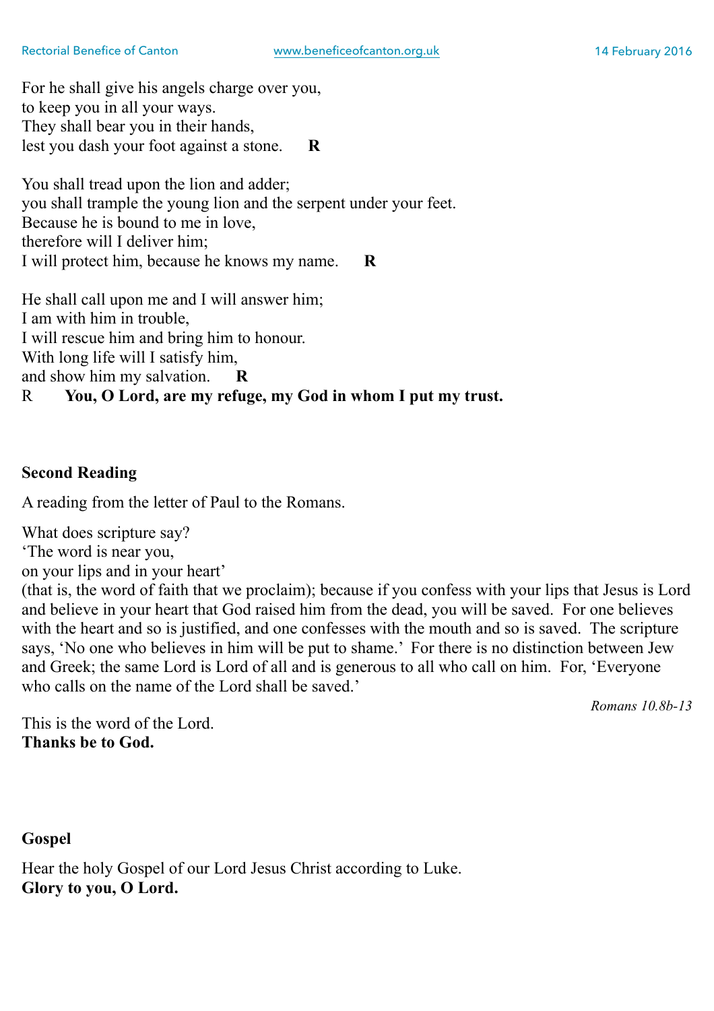For he shall give his angels charge over you, to keep you in all your ways. They shall bear you in their hands, lest you dash your foot against a stone. **R** 

You shall tread upon the lion and adder; you shall trample the young lion and the serpent under your feet. Because he is bound to me in love, therefore will I deliver him; I will protect him, because he knows my name. **R** 

He shall call upon me and I will answer him; I am with him in trouble, I will rescue him and bring him to honour. With long life will I satisfy him, and show him my salvation. **R**  R **You, O Lord, are my refuge, my God in whom I put my trust.** 

#### **Second Reading**

A reading from the letter of Paul to the Romans.

What does scripture say?

'The word is near you,

on your lips and in your heart'

(that is, the word of faith that we proclaim); because if you confess with your lips that Jesus is Lord and believe in your heart that God raised him from the dead, you will be saved. For one believes with the heart and so is justified, and one confesses with the mouth and so is saved. The scripture says, 'No one who believes in him will be put to shame.' For there is no distinction between Jew and Greek; the same Lord is Lord of all and is generous to all who call on him. For, 'Everyone who calls on the name of the Lord shall be saved.'

*Romans 10.8b-13* 

This is the word of the Lord. **Thanks be to God.** 

#### **Gospel**

Hear the holy Gospel of our Lord Jesus Christ according to Luke. **Glory to you, O Lord.**